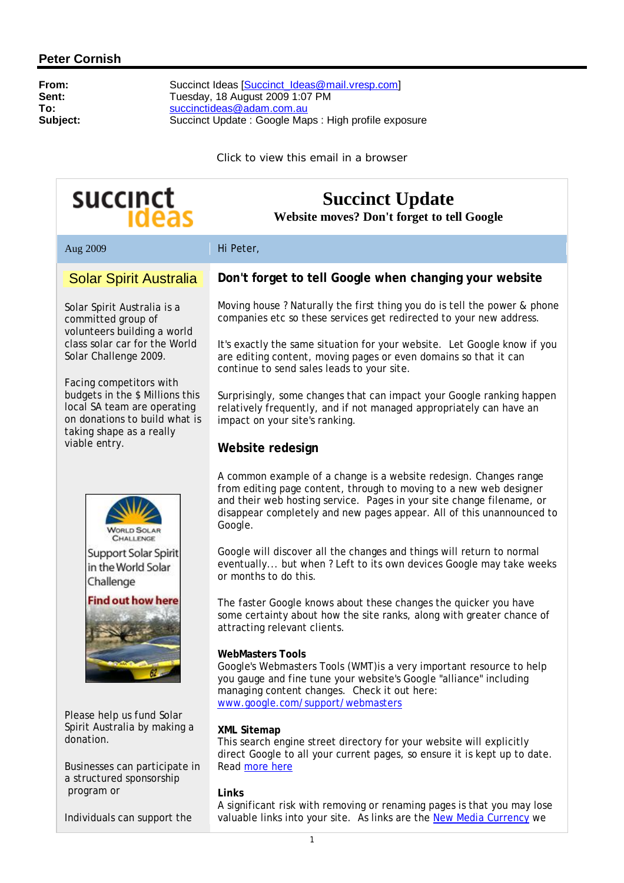### **Peter Cornish**

**From:** Succinct Ideas [[Succinct\\_Ideas@mail.vresp.com\]](mailto:Succinct_Ideas@mail.vresp.com) **Sent:** Tuesday, 18 August 2009 1:07 PM **To:** [succinctideas@adam.com.au](mailto:succinctideas@adam.com.au) **Subject:** Succinct Update : Google Maps : High profile exposure

Click to view this email in a browser

# succinct

## **Succinct Update**

**Website moves? Don't forget to tell Google**

Aug 2009 Hi Peter,

### Solar Spirit Australia

Solar Spirit Australia is a committed group of volunteers building a world class solar car for the World Solar Challenge 2009.

Facing competitors with budgets in the \$ Millions this local SA team are operating on donations to build what is taking shape as a really viable entry.



Support Solar Spirit in the World Solar Challenge

#### **Find out how here**



Please help us fund Solar Spirit Australia by making a donation.

Businesses can participate in a structured sponsorship program or

Individuals can support the

### **Don't forget to tell Google when changing your website**

Moving house ? Naturally the first thing you do is tell the power & phone companies etc so these services get redirected to your new address.

It's exactly the same situation for your website. Let Google know if you are editing content, moving pages or even domains so that it can continue to send sales leads to your site.

Surprisingly, some changes that can impact your Google ranking happen relatively frequently, and if not managed appropriately can have an impact on your site's ranking.

#### **Website redesign**

A common example of a change is a website redesign. Changes range from editing page content, through to moving to a new web designer and their web hosting service. Pages in your site change filename, or disappear completely and new pages appear. All of this unannounced to Google.

Google will discover all the changes and things will return to normal eventually... but when ? Left to its own devices Google may take weeks or months to do this.

The faster Google knows about these changes the quicker you have some certainty about how the site ranks, along with greater chance of attracting relevant clients.

#### **WebMasters Tools**

Google's Webmasters Tools (WMT)is a very important resource to help you gauge and fine tune your website's Google "alliance" including managing content changes. Check it out here: [www.google.com/support/webmasters](http://www.google.com/support/webmasters)

#### **XML Sitemap**

This search engine street directory for your website will explicitly direct Google to all your current pages, so ensure it is kept up to date. Read more here

#### **Links**

A significant risk with removing or renaming pages is that you may lose valuable links into your site. As links are the New Media Currency we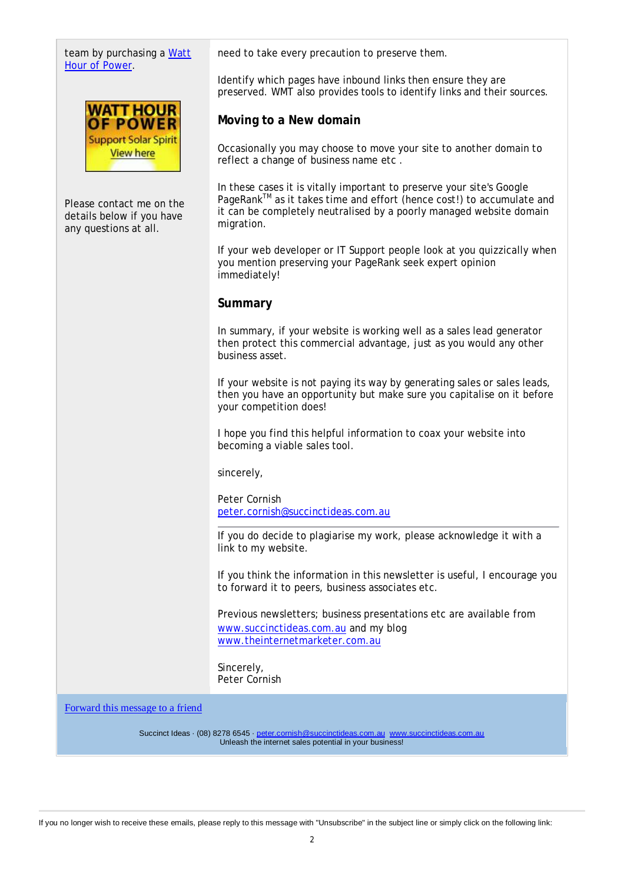| team by purchasing a Watt<br>Hour of Power.                                    | need to take every precaution to preserve them.                                                                                                                                                                                     |
|--------------------------------------------------------------------------------|-------------------------------------------------------------------------------------------------------------------------------------------------------------------------------------------------------------------------------------|
|                                                                                | Identify which pages have inbound links then ensure they are<br>preserved. WMT also provides tools to identify links and their sources.                                                                                             |
| <b>WATT HOUR</b><br>OF POWER                                                   | Moving to a New domain                                                                                                                                                                                                              |
| <b>Support Solar Spirit</b><br><b>View here</b>                                | Occasionally you may choose to move your site to another domain to<br>reflect a change of business name etc.                                                                                                                        |
| Please contact me on the<br>details below if you have<br>any questions at all. | In these cases it is vitally important to preserve your site's Google<br>PageRank™ as it takes time and effort (hence cost!) to accumulate and<br>it can be completely neutralised by a poorly managed website domain<br>migration. |
|                                                                                | If your web developer or IT Support people look at you quizzically when<br>you mention preserving your PageRank seek expert opinion<br>immediately!                                                                                 |
|                                                                                | Summary                                                                                                                                                                                                                             |
|                                                                                | In summary, if your website is working well as a sales lead generator<br>then protect this commercial advantage, just as you would any other<br>business asset.                                                                     |
|                                                                                | If your website is not paying its way by generating sales or sales leads,<br>then you have an opportunity but make sure you capitalise on it before<br>your competition does!                                                       |
|                                                                                | I hope you find this helpful information to coax your website into<br>becoming a viable sales tool.                                                                                                                                 |
|                                                                                | sincerely,                                                                                                                                                                                                                          |
|                                                                                | Peter Cornish<br>peter.cornish@succinctideas.com.au                                                                                                                                                                                 |
|                                                                                | If you do decide to plagiarise my work, please acknowledge it with a<br>link to my website.                                                                                                                                         |
|                                                                                | If you think the information in this newsletter is useful, I encourage you<br>to forward it to peers, business associates etc.                                                                                                      |
|                                                                                | Previous newsletters; business presentations etc are available from<br>www.succinctideas.com.au and my blog<br>www.theinternetmarketer.com.au                                                                                       |
|                                                                                | Sincerely,<br>Peter Cornish                                                                                                                                                                                                         |
| Forward this message to a friend                                               |                                                                                                                                                                                                                                     |

Succinct Ideas · (08) 8278 6545 · [peter.cornish@succinctideas.com.au](mailto:peter.cornish@succinctideas.com.au) [www.succinctideas.com.au](http://www.succinctideas.com.au) Unleash the internet sales potential in your business!